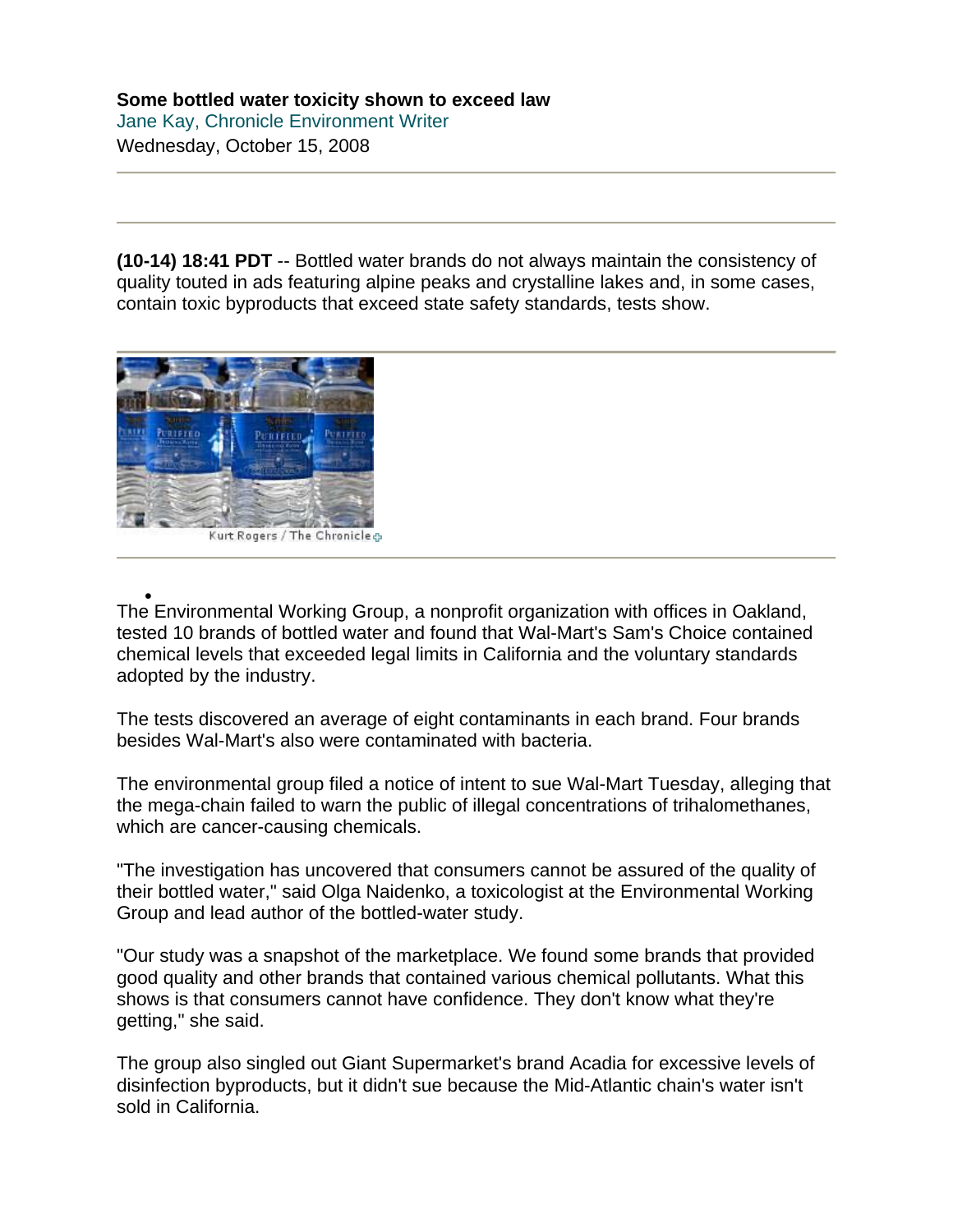**(10-14) 18:41 PDT** -- Bottled water brands do not always maintain the consistency of quality touted in ads featuring alpine peaks and crystalline lakes and, in some cases, contain toxic byproducts that exceed state safety standards, tests show.



Kurt Rogers / The Chronicle &

• The E[nv](http://www.sfgate.com/cgi-bin/article.cgi?f=/c/a/2008/10/15/MN2613GQ4O.DTL)ironmental Working Group, a nonprofit organization with offices in Oakland, tested 10 brands of bottled water and found that Wal-Mart's Sam's Choice contained chemical levels that exceeded legal limits in California and the voluntary standards adopted by the industry.

The tests discovered an average of eight contaminants in each brand. Four brands besides Wal-Mart's also were contaminated with bacteria.

The environmental group filed a notice of intent to sue Wal-Mart Tuesday, alleging that the mega-chain failed to warn the public of illegal concentrations of trihalomethanes, which are cancer-causing chemicals.

"The investigation has uncovered that consumers cannot be assured of the quality of their bottled water," said Olga Naidenko, a toxicologist at the Environmental Working Group and lead author of the bottled-water study.

"Our study was a snapshot of the marketplace. We found some brands that provided good quality and other brands that contained various chemical pollutants. What this shows is that consumers cannot have confidence. They don't know what they're getting," she said.

The group also singled out Giant Supermarket's brand Acadia for excessive levels of disinfection byproducts, but it didn't sue because the Mid-Atlantic chain's water isn't sold in California.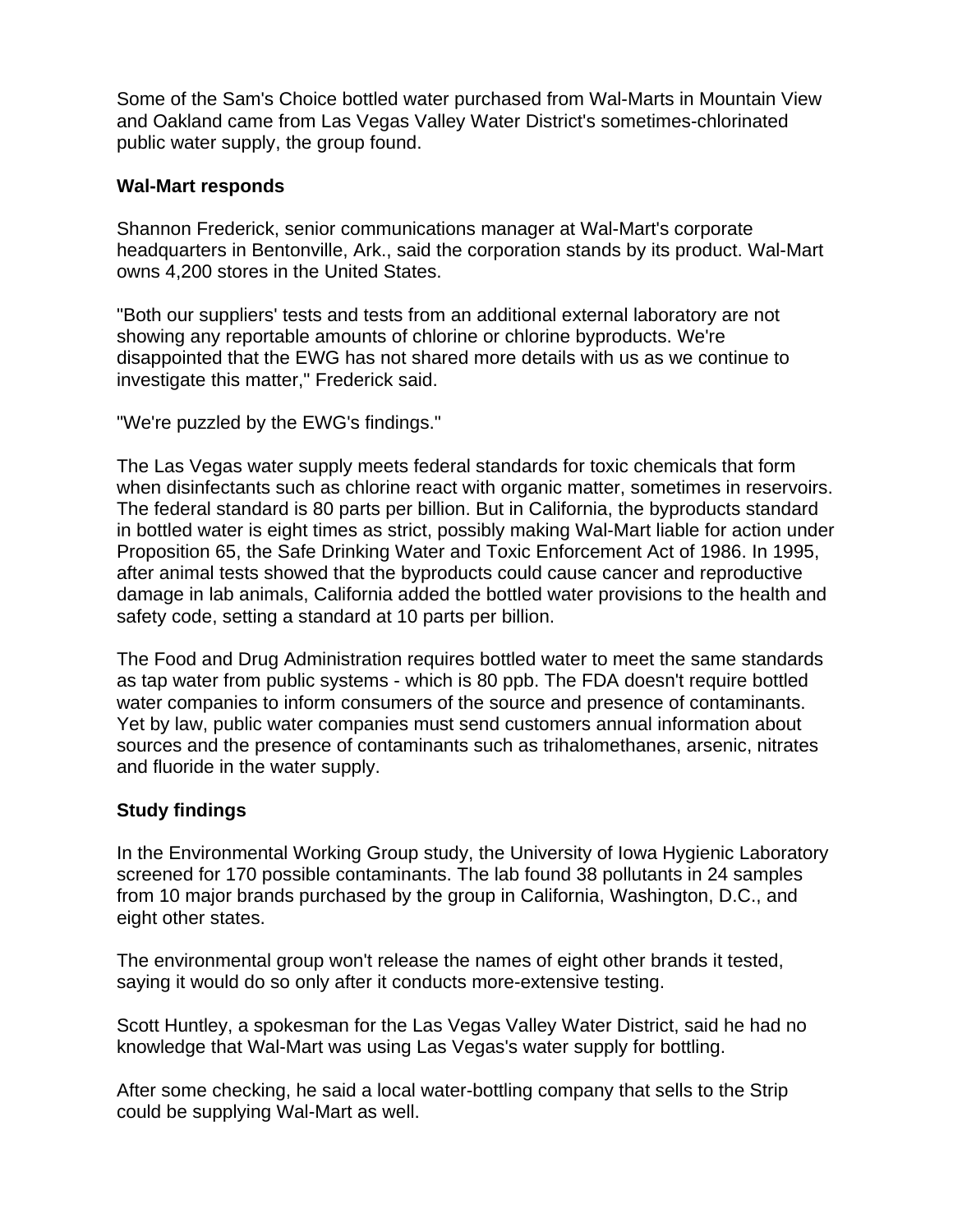Some of the Sam's Choice bottled water purchased from Wal-Marts in Mountain View and Oakland came from Las Vegas Valley Water District's sometimes-chlorinated public water supply, the group found.

## **Wal-Mart responds**

Shannon Frederick, senior communications manager at Wal-Mart's corporate headquarters in Bentonville, Ark., said the corporation stands by its product. Wal-Mart owns 4,200 stores in the United States.

"Both our suppliers' tests and tests from an additional external laboratory are not showing any reportable amounts of chlorine or chlorine byproducts. We're disappointed that the EWG has not shared more details with us as we continue to investigate this matter," Frederick said.

"We're puzzled by the EWG's findings."

The Las Vegas water supply meets federal standards for toxic chemicals that form when disinfectants such as chlorine react with organic matter, sometimes in reservoirs. The federal standard is 80 parts per billion. But in California, the byproducts standard in bottled water is eight times as strict, possibly making Wal-Mart liable for action under Proposition 65, the Safe Drinking Water and Toxic Enforcement Act of 1986. In 1995, after animal tests showed that the byproducts could cause cancer and reproductive damage in lab animals, California added the bottled water provisions to the health and safety code, setting a standard at 10 parts per billion.

The Food and Drug Administration requires bottled water to meet the same standards as tap water from public systems - which is 80 ppb. The FDA doesn't require bottled water companies to inform consumers of the source and presence of contaminants. Yet by law, public water companies must send customers annual information about sources and the presence of contaminants such as trihalomethanes, arsenic, nitrates and fluoride in the water supply.

## **Study findings**

In the Environmental Working Group study, the University of Iowa Hygienic Laboratory screened for 170 possible contaminants. The lab found 38 pollutants in 24 samples from 10 major brands purchased by the group in California, Washington, D.C., and eight other states.

The environmental group won't release the names of eight other brands it tested, saying it would do so only after it conducts more-extensive testing.

Scott Huntley, a spokesman for the Las Vegas Valley Water District, said he had no knowledge that Wal-Mart was using Las Vegas's water supply for bottling.

After some checking, he said a local water-bottling company that sells to the Strip could be supplying Wal-Mart as well.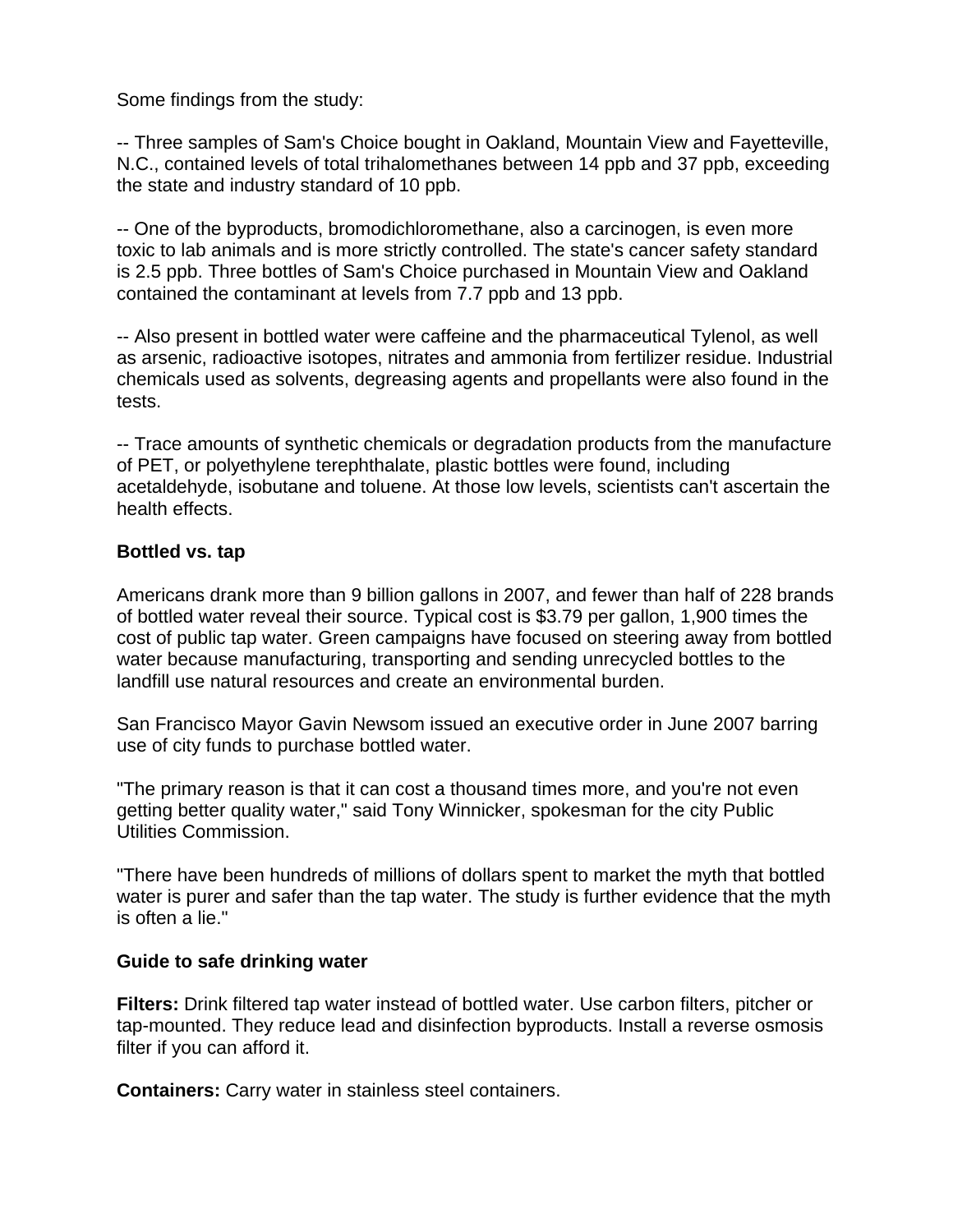Some findings from the study:

-- Three samples of Sam's Choice bought in Oakland, Mountain View and Fayetteville, N.C., contained levels of total trihalomethanes between 14 ppb and 37 ppb, exceeding the state and industry standard of 10 ppb.

-- One of the byproducts, bromodichloromethane, also a carcinogen, is even more toxic to lab animals and is more strictly controlled. The state's cancer safety standard is 2.5 ppb. Three bottles of Sam's Choice purchased in Mountain View and Oakland contained the contaminant at levels from 7.7 ppb and 13 ppb.

-- Also present in bottled water were caffeine and the pharmaceutical Tylenol, as well as arsenic, radioactive isotopes, nitrates and ammonia from fertilizer residue. Industrial chemicals used as solvents, degreasing agents and propellants were also found in the tests.

-- Trace amounts of synthetic chemicals or degradation products from the manufacture of PET, or polyethylene terephthalate, plastic bottles were found, including acetaldehyde, isobutane and toluene. At those low levels, scientists can't ascertain the health effects.

## **Bottled vs. tap**

Americans drank more than 9 billion gallons in 2007, and fewer than half of 228 brands of bottled water reveal their source. Typical cost is \$3.79 per gallon, 1,900 times the cost of public tap water. Green campaigns have focused on steering away from bottled water because manufacturing, transporting and sending unrecycled bottles to the landfill use natural resources and create an environmental burden.

San Francisco Mayor Gavin Newsom issued an executive order in June 2007 barring use of city funds to purchase bottled water.

"The primary reason is that it can cost a thousand times more, and you're not even getting better quality water," said Tony Winnicker, spokesman for the city Public Utilities Commission.

"There have been hundreds of millions of dollars spent to market the myth that bottled water is purer and safer than the tap water. The study is further evidence that the myth is often a lie."

## **Guide to safe drinking water**

**Filters:** Drink filtered tap water instead of bottled water. Use carbon filters, pitcher or tap-mounted. They reduce lead and disinfection byproducts. Install a reverse osmosis filter if you can afford it.

**Containers:** Carry water in stainless steel containers.